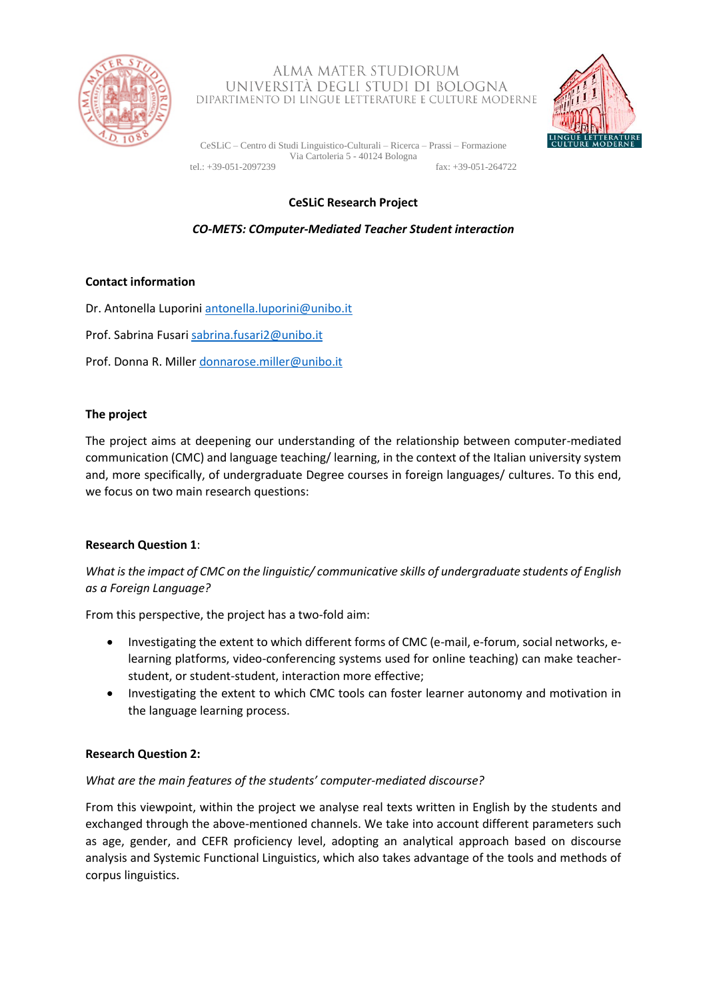

### ALMA MATER STUDIORUM UNIVERSITÀ DEGLI STUDI DI BOLOGNA DIPARTIMENTO DI LINGUE LETTERATURE E CULTURE MODERNE



CeSLiC – Centro di Studi Linguistico-Culturali – Ricerca – Prassi – Formazione Via Cartoleria 5 - 40124 Bologna tel.: +39-051-2097239 fax: +39-051-264722

# **CeSLiC Research Project**

## *CO-METS: COmputer-Mediated Teacher Student interaction*

## **Contact information**

Dr. Antonella Luporin[i antonella.luporini@unibo.it](file:///C:/Users/Carminelli/Desktop/antonella.luporini@unibo.it)

Prof. Sabrina Fusari [sabrina.fusari2@unibo.it](mailto:sabrina.fusari2@unibo.it)

Prof. Donna R. Miller [donnarose.miller@unibo.it](file:///C:/Users/Carminelli/Desktop/donnarose.miller@unibo.it)

### **The project**

The project aims at deepening our understanding of the relationship between computer-mediated communication (CMC) and language teaching/ learning, in the context of the Italian university system and, more specifically, of undergraduate Degree courses in foreign languages/ cultures. To this end, we focus on two main research questions:

## **Research Question 1**:

*What is the impact of CMC on the linguistic/ communicative skills of undergraduate students of English as a Foreign Language?*

From this perspective, the project has a two-fold aim:

- Investigating the extent to which different forms of CMC (e-mail, e-forum, social networks, elearning platforms, video-conferencing systems used for online teaching) can make teacherstudent, or student-student, interaction more effective;
- Investigating the extent to which CMC tools can foster learner autonomy and motivation in the language learning process.

#### **Research Question 2:**

#### *What are the main features of the students' computer-mediated discourse?*

From this viewpoint, within the project we analyse real texts written in English by the students and exchanged through the above-mentioned channels. We take into account different parameters such as age, gender, and CEFR proficiency level, adopting an analytical approach based on discourse analysis and Systemic Functional Linguistics, which also takes advantage of the tools and methods of corpus linguistics.